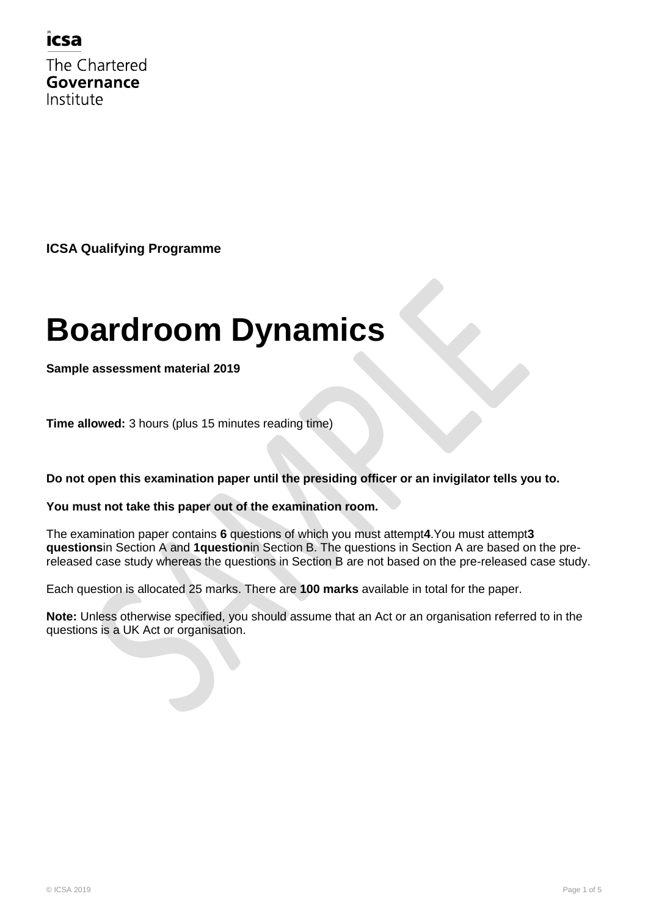### icsa

The Chartered Governance Institute

**ICSA Qualifying Programme**

# **Boardroom Dynamics**

**Sample assessment material 2019**

**Time allowed:** 3 hours (plus 15 minutes reading time)

**Do not open this examination paper until the presiding officer or an invigilator tells you to.**

#### **You must not take this paper out of the examination room.**

The examination paper contains **6** questions of which you must attempt**4**.You must attempt**3 questions**in Section A and **1question**in Section B. The questions in Section A are based on the prereleased case study whereas the questions in Section B are not based on the pre-released case study.

Each question is allocated 25 marks. There are **100 marks** available in total for the paper.

**Note:** Unless otherwise specified, you should assume that an Act or an organisation referred to in the questions is a UK Act or organisation.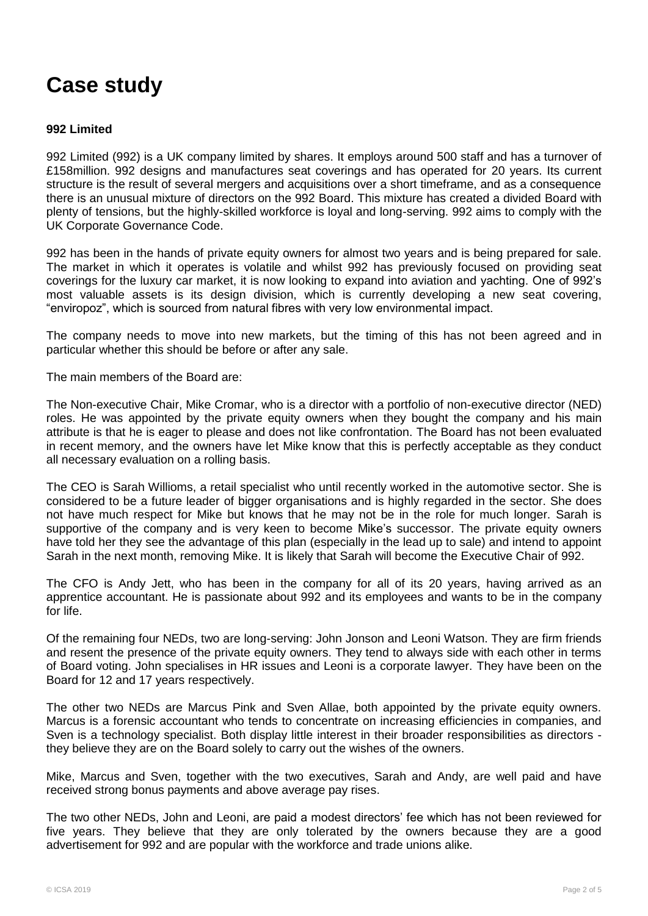# **Case study**

#### **992 Limited**

992 Limited (992) is a UK company limited by shares. It employs around 500 staff and has a turnover of £158million. 992 designs and manufactures seat coverings and has operated for 20 years. Its current structure is the result of several mergers and acquisitions over a short timeframe, and as a consequence there is an unusual mixture of directors on the 992 Board. This mixture has created a divided Board with plenty of tensions, but the highly-skilled workforce is loyal and long-serving. 992 aims to comply with the UK Corporate Governance Code.

992 has been in the hands of private equity owners for almost two years and is being prepared for sale. The market in which it operates is volatile and whilst 992 has previously focused on providing seat coverings for the luxury car market, it is now looking to expand into aviation and yachting. One of 992"s most valuable assets is its design division, which is currently developing a new seat covering, "enviropoz", which is sourced from natural fibres with very low environmental impact.

The company needs to move into new markets, but the timing of this has not been agreed and in particular whether this should be before or after any sale.

The main members of the Board are:

The Non-executive Chair, Mike Cromar, who is a director with a portfolio of non-executive director (NED) roles. He was appointed by the private equity owners when they bought the company and his main attribute is that he is eager to please and does not like confrontation. The Board has not been evaluated in recent memory, and the owners have let Mike know that this is perfectly acceptable as they conduct all necessary evaluation on a rolling basis.

The CEO is Sarah Willioms, a retail specialist who until recently worked in the automotive sector. She is considered to be a future leader of bigger organisations and is highly regarded in the sector. She does not have much respect for Mike but knows that he may not be in the role for much longer. Sarah is supportive of the company and is very keen to become Mike's successor. The private equity owners have told her they see the advantage of this plan (especially in the lead up to sale) and intend to appoint Sarah in the next month, removing Mike. It is likely that Sarah will become the Executive Chair of 992.

The CFO is Andy Jett, who has been in the company for all of its 20 years, having arrived as an apprentice accountant. He is passionate about 992 and its employees and wants to be in the company for life.

Of the remaining four NEDs, two are long-serving: John Jonson and Leoni Watson. They are firm friends and resent the presence of the private equity owners. They tend to always side with each other in terms of Board voting. John specialises in HR issues and Leoni is a corporate lawyer. They have been on the Board for 12 and 17 years respectively.

The other two NEDs are Marcus Pink and Sven Allae, both appointed by the private equity owners. Marcus is a forensic accountant who tends to concentrate on increasing efficiencies in companies, and Sven is a technology specialist. Both display little interest in their broader responsibilities as directors they believe they are on the Board solely to carry out the wishes of the owners.

Mike, Marcus and Sven, together with the two executives, Sarah and Andy, are well paid and have received strong bonus payments and above average pay rises.

The two other NEDs, John and Leoni, are paid a modest directors" fee which has not been reviewed for five years. They believe that they are only tolerated by the owners because they are a good advertisement for 992 and are popular with the workforce and trade unions alike.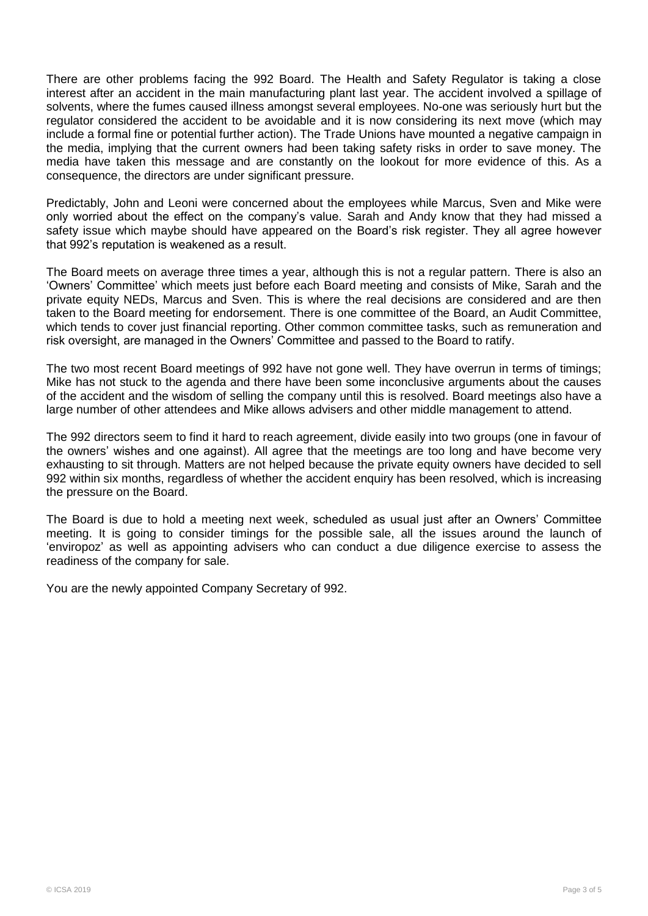There are other problems facing the 992 Board. The Health and Safety Regulator is taking a close interest after an accident in the main manufacturing plant last year. The accident involved a spillage of solvents, where the fumes caused illness amongst several employees. No-one was seriously hurt but the regulator considered the accident to be avoidable and it is now considering its next move (which may include a formal fine or potential further action). The Trade Unions have mounted a negative campaign in the media, implying that the current owners had been taking safety risks in order to save money. The media have taken this message and are constantly on the lookout for more evidence of this. As a consequence, the directors are under significant pressure.

Predictably, John and Leoni were concerned about the employees while Marcus, Sven and Mike were only worried about the effect on the company"s value. Sarah and Andy know that they had missed a safety issue which maybe should have appeared on the Board's risk register. They all agree however that 992"s reputation is weakened as a result.

The Board meets on average three times a year, although this is not a regular pattern. There is also an "Owners" Committee" which meets just before each Board meeting and consists of Mike, Sarah and the private equity NEDs, Marcus and Sven. This is where the real decisions are considered and are then taken to the Board meeting for endorsement. There is one committee of the Board, an Audit Committee, which tends to cover just financial reporting. Other common committee tasks, such as remuneration and risk oversight, are managed in the Owners" Committee and passed to the Board to ratify.

The two most recent Board meetings of 992 have not gone well. They have overrun in terms of timings; Mike has not stuck to the agenda and there have been some inconclusive arguments about the causes of the accident and the wisdom of selling the company until this is resolved. Board meetings also have a large number of other attendees and Mike allows advisers and other middle management to attend.

The 992 directors seem to find it hard to reach agreement, divide easily into two groups (one in favour of the owners" wishes and one against). All agree that the meetings are too long and have become very exhausting to sit through. Matters are not helped because the private equity owners have decided to sell 992 within six months, regardless of whether the accident enquiry has been resolved, which is increasing the pressure on the Board.

The Board is due to hold a meeting next week, scheduled as usual just after an Owners" Committee meeting. It is going to consider timings for the possible sale, all the issues around the launch of "enviropoz" as well as appointing advisers who can conduct a due diligence exercise to assess the readiness of the company for sale.

You are the newly appointed Company Secretary of 992.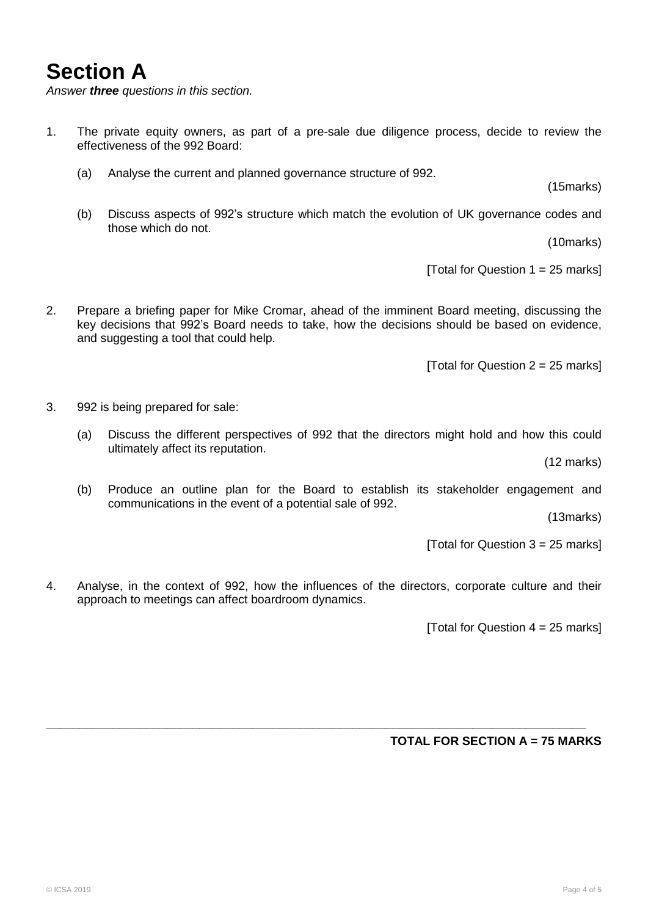### **Section A**

*Answer three questions in this section.*

- 1. The private equity owners, as part of a pre-sale due diligence process, decide to review the effectiveness of the 992 Board:
	- (a) Analyse the current and planned governance structure of 992.

(15marks)

(b) Discuss aspects of 992"s structure which match the evolution of UK governance codes and those which do not.

(10marks)

[Total for Question  $1 = 25$  marks]

2. Prepare a briefing paper for Mike Cromar, ahead of the imminent Board meeting, discussing the key decisions that 992"s Board needs to take, how the decisions should be based on evidence, and suggesting a tool that could help.

[Total for Question  $2 = 25$  marks]

- 3. 992 is being prepared for sale:
	- (a) Discuss the different perspectives of 992 that the directors might hold and how this could ultimately affect its reputation.

(12 marks)

(b) Produce an outline plan for the Board to establish its stakeholder engagement and communications in the event of a potential sale of 992.

(13marks)

[Total for Question 3 = 25 marks]

4. Analyse, in the context of 992, how the influences of the directors, corporate culture and their approach to meetings can affect boardroom dynamics.

**\_\_\_\_\_\_\_\_\_\_\_\_\_\_\_\_\_\_\_\_\_\_\_\_\_\_\_\_\_\_\_\_\_\_\_\_\_\_\_\_\_\_\_\_\_\_\_\_\_\_\_\_\_\_\_\_\_\_\_\_\_\_\_\_\_\_\_\_\_\_\_\_\_\_\_\_\_\_\_\_\_**

[Total for Question  $4 = 25$  marks]

#### **TOTAL FOR SECTION A = 75 MARKS**